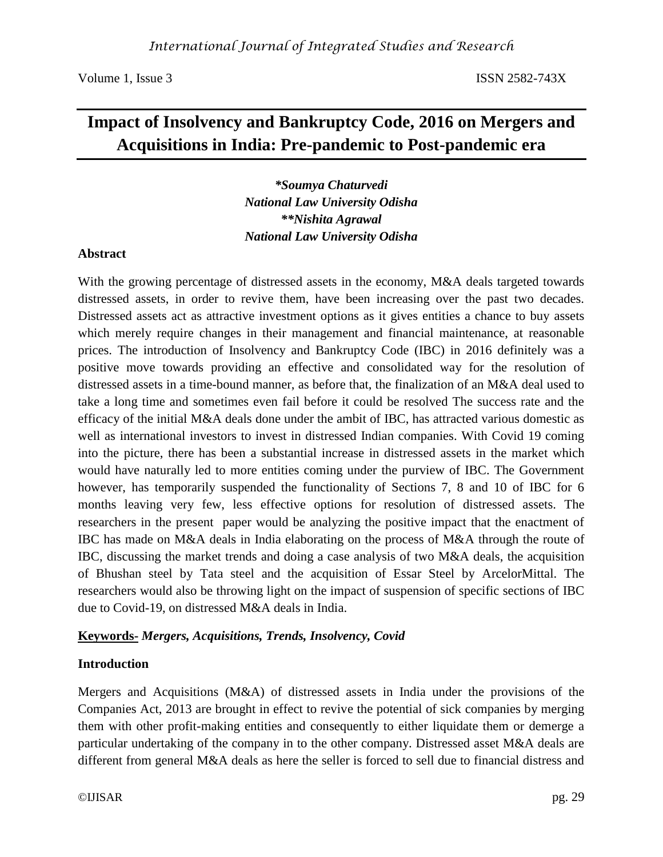# **Impact of Insolvency and Bankruptcy Code, 2016 on Mergers and Acquisitions in India: Pre-pandemic to Post-pandemic era**

*\*Soumya Chaturvedi National Law University Odisha \*\*Nishita Agrawal National Law University Odisha*

### **Abstract**

With the growing percentage of distressed assets in the economy, M&A deals targeted towards distressed assets, in order to revive them, have been increasing over the past two decades. Distressed assets act as attractive investment options as it gives entities a chance to buy assets which merely require changes in their management and financial maintenance, at reasonable prices. The introduction of Insolvency and Bankruptcy Code (IBC) in 2016 definitely was a positive move towards providing an effective and consolidated way for the resolution of distressed assets in a time-bound manner, as before that, the finalization of an M&A deal used to take a long time and sometimes even fail before it could be resolved The success rate and the efficacy of the initial M&A deals done under the ambit of IBC, has attracted various domestic as well as international investors to invest in distressed Indian companies. With Covid 19 coming into the picture, there has been a substantial increase in distressed assets in the market which would have naturally led to more entities coming under the purview of IBC. The Government however, has temporarily suspended the functionality of Sections 7, 8 and 10 of IBC for 6 months leaving very few, less effective options for resolution of distressed assets. The researchers in the present paper would be analyzing the positive impact that the enactment of IBC has made on M&A deals in India elaborating on the process of M&A through the route of IBC, discussing the market trends and doing a case analysis of two M&A deals, the acquisition of Bhushan steel by Tata steel and the acquisition of Essar Steel by ArcelorMittal. The researchers would also be throwing light on the impact of suspension of specific sections of IBC due to Covid-19, on distressed M&A deals in India.

### **Keywords-** *Mergers, Acquisitions, Trends, Insolvency, Covid*

### **Introduction**

Mergers and Acquisitions (M&A) of distressed assets in India under the provisions of the Companies Act, 2013 are brought in effect to revive the potential of sick companies by merging them with other profit-making entities and consequently to either liquidate them or demerge a particular undertaking of the company in to the other company. Distressed asset M&A deals are different from general M&A deals as here the seller is forced to sell due to financial distress and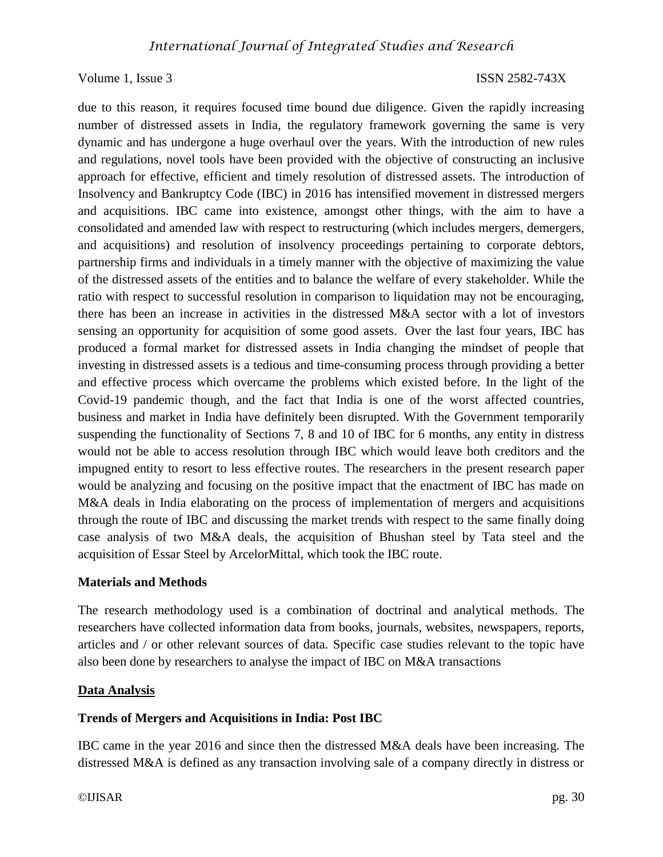due to this reason, it requires focused time bound due diligence. Given the rapidly increasing number of distressed assets in India, the regulatory framework governing the same is very dynamic and has undergone a huge overhaul over the years. With the introduction of new rules and regulations, novel tools have been provided with the objective of constructing an inclusive approach for effective, efficient and timely resolution of distressed assets. The introduction of Insolvency and Bankruptcy Code (IBC) in 2016 has intensified movement in distressed mergers and acquisitions. IBC came into existence, amongst other things, with the aim to have a consolidated and amended law with respect to restructuring (which includes mergers, demergers, and acquisitions) and resolution of insolvency proceedings pertaining to corporate debtors, partnership firms and individuals in a timely manner with the objective of maximizing the value of the distressed assets of the entities and to balance the welfare of every stakeholder. While the ratio with respect to successful resolution in comparison to liquidation may not be encouraging, there has been an increase in activities in the distressed M&A sector with a lot of investors sensing an opportunity for acquisition of some good assets. Over the last four years, IBC has produced a formal market for distressed assets in India changing the mindset of people that investing in distressed assets is a tedious and time-consuming process through providing a better and effective process which overcame the problems which existed before. In the light of the Covid-19 pandemic though, and the fact that India is one of the worst affected countries, business and market in India have definitely been disrupted. With the Government temporarily suspending the functionality of Sections 7, 8 and 10 of IBC for 6 months, any entity in distress would not be able to access resolution through IBC which would leave both creditors and the impugned entity to resort to less effective routes. The researchers in the present research paper would be analyzing and focusing on the positive impact that the enactment of IBC has made on M&A deals in India elaborating on the process of implementation of mergers and acquisitions through the route of IBC and discussing the market trends with respect to the same finally doing case analysis of two M&A deals, the acquisition of Bhushan steel by Tata steel and the acquisition of Essar Steel by ArcelorMittal, which took the IBC route.

#### **Materials and Methods**

The research methodology used is a combination of doctrinal and analytical methods. The researchers have collected information data from books, journals, websites, newspapers, reports, articles and / or other relevant sources of data. Specific case studies relevant to the topic have also been done by researchers to analyse the impact of IBC on M&A transactions

#### **Data Analysis**

### **Trends of Mergers and Acquisitions in India: Post IBC**

IBC came in the year 2016 and since then the distressed M&A deals have been increasing. The distressed M&A is defined as any transaction involving sale of a company directly in distress or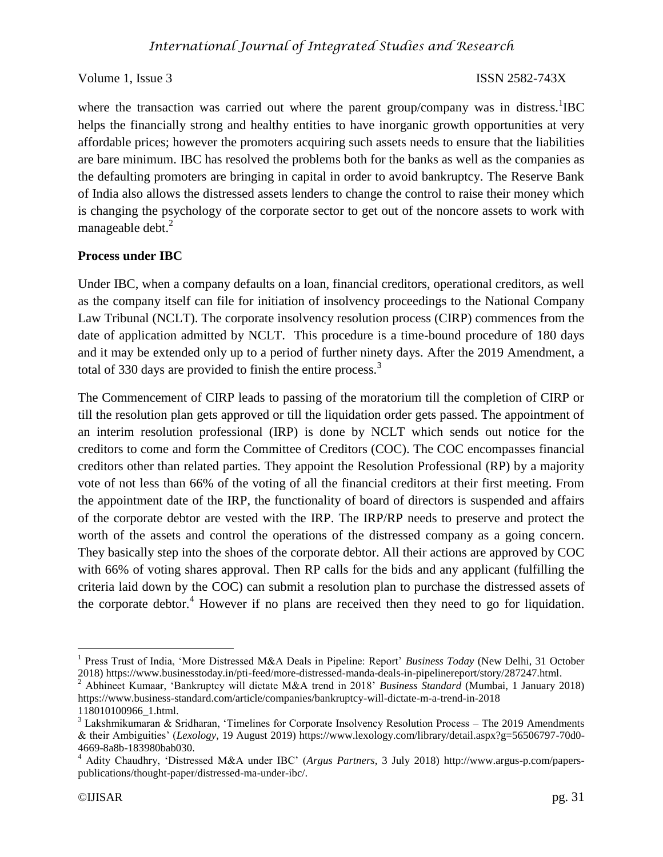where the transaction was carried out where the parent group/company was in distress.  ${}^{1}$ IBC helps the financially strong and healthy entities to have inorganic growth opportunities at very affordable prices; however the promoters acquiring such assets needs to ensure that the liabilities are bare minimum. IBC has resolved the problems both for the banks as well as the companies as the defaulting promoters are bringing in capital in order to avoid bankruptcy. The Reserve Bank of India also allows the distressed assets lenders to change the control to raise their money which is changing the psychology of the corporate sector to get out of the noncore assets to work with manageable debt. $^{2}$ 

#### **Process under IBC**

Under IBC, when a company defaults on a loan, financial creditors, operational creditors, as well as the company itself can file for initiation of insolvency proceedings to the National Company Law Tribunal (NCLT). The corporate insolvency resolution process (CIRP) commences from the date of application admitted by NCLT. This procedure is a time-bound procedure of 180 days and it may be extended only up to a period of further ninety days. After the 2019 Amendment, a total of 330 days are provided to finish the entire process.<sup>3</sup>

The Commencement of CIRP leads to passing of the moratorium till the completion of CIRP or till the resolution plan gets approved or till the liquidation order gets passed. The appointment of an interim resolution professional (IRP) is done by NCLT which sends out notice for the creditors to come and form the Committee of Creditors (COC). The COC encompasses financial creditors other than related parties. They appoint the Resolution Professional (RP) by a majority vote of not less than 66% of the voting of all the financial creditors at their first meeting. From the appointment date of the IRP, the functionality of board of directors is suspended and affairs of the corporate debtor are vested with the IRP. The IRP/RP needs to preserve and protect the worth of the assets and control the operations of the distressed company as a going concern. They basically step into the shoes of the corporate debtor. All their actions are approved by COC with 66% of voting shares approval. Then RP calls for the bids and any applicant (fulfilling the criteria laid down by the COC) can submit a resolution plan to purchase the distressed assets of the corporate debtor.<sup>4</sup> However if no plans are received then they need to go for liquidation.

<sup>&</sup>lt;sup>1</sup> Press Trust of India, 'More Distressed M&A Deals in Pipeline: Report' *Business Today* (New Delhi, 31 October 2018) https://www.businesstoday.in/pti-feed/more-distressed-manda-deals-in-pipelinereport/story/287247.html.

<sup>2</sup> Abhineet Kumaar, 'Bankruptcy will dictate M&A trend in 2018' *Business Standard* (Mumbai, 1 January 2018) https://www.business-standard.com/article/companies/bankruptcy-will-dictate-m-a-trend-in-2018

<sup>118010100966</sup>\_1.html.

 $3$  Lakshmikumaran & Sridharan, 'Timelines for Corporate Insolvency Resolution Process – The 2019 Amendments & their Ambiguities' (*Lexology*, 19 August 2019) https://www.lexology.com/library/detail.aspx?g=56506797-70d0- 4669-8a8b-183980bab030.

<sup>4</sup> Adity Chaudhry, 'Distressed M&A under IBC' (*Argus Partners*, 3 July 2018) http://www.argus-p.com/paperspublications/thought-paper/distressed-ma-under-ibc/.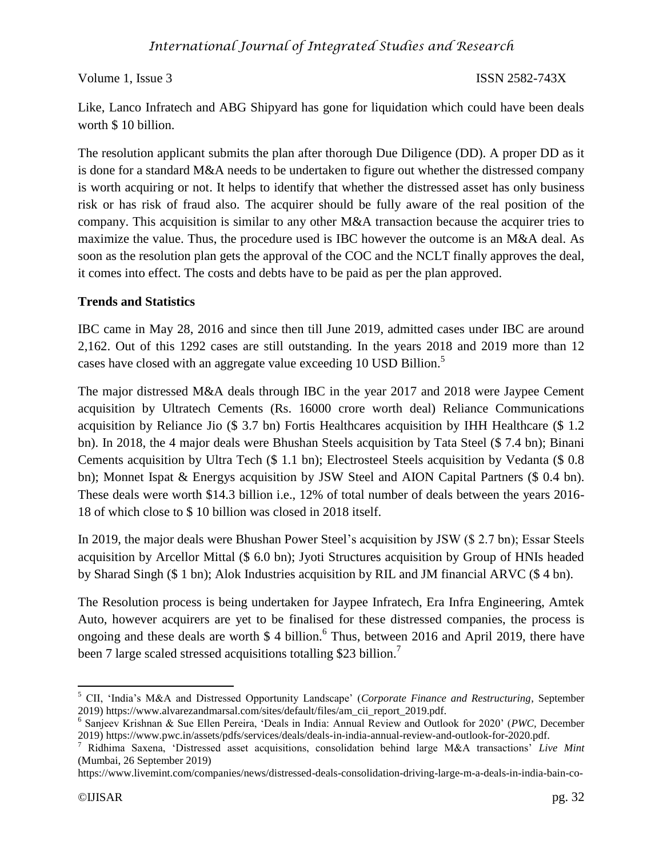Like, Lanco Infratech and ABG Shipyard has gone for liquidation which could have been deals worth \$ 10 billion.

The resolution applicant submits the plan after thorough Due Diligence (DD). A proper DD as it is done for a standard M&A needs to be undertaken to figure out whether the distressed company is worth acquiring or not. It helps to identify that whether the distressed asset has only business risk or has risk of fraud also. The acquirer should be fully aware of the real position of the company. This acquisition is similar to any other M&A transaction because the acquirer tries to maximize the value. Thus, the procedure used is IBC however the outcome is an M&A deal. As soon as the resolution plan gets the approval of the COC and the NCLT finally approves the deal, it comes into effect. The costs and debts have to be paid as per the plan approved.

## **Trends and Statistics**

IBC came in May 28, 2016 and since then till June 2019, admitted cases under IBC are around 2,162. Out of this 1292 cases are still outstanding. In the years 2018 and 2019 more than 12 cases have closed with an aggregate value exceeding 10 USD Billion.<sup>5</sup>

The major distressed M&A deals through IBC in the year 2017 and 2018 were Jaypee Cement acquisition by Ultratech Cements (Rs. 16000 crore worth deal) Reliance Communications acquisition by Reliance Jio (\$ 3.7 bn) Fortis Healthcares acquisition by IHH Healthcare (\$ 1.2 bn). In 2018, the 4 major deals were Bhushan Steels acquisition by Tata Steel (\$ 7.4 bn); Binani Cements acquisition by Ultra Tech (\$ 1.1 bn); Electrosteel Steels acquisition by Vedanta (\$ 0.8 bn); Monnet Ispat & Energys acquisition by JSW Steel and AION Capital Partners (\$ 0.4 bn). These deals were worth \$14.3 billion i.e., 12% of total number of deals between the years 2016- 18 of which close to \$ 10 billion was closed in 2018 itself.

In 2019, the major deals were Bhushan Power Steel's acquisition by JSW (\$ 2.7 bn); Essar Steels acquisition by Arcellor Mittal (\$ 6.0 bn); Jyoti Structures acquisition by Group of HNIs headed by Sharad Singh (\$ 1 bn); Alok Industries acquisition by RIL and JM financial ARVC (\$ 4 bn).

The Resolution process is being undertaken for Jaypee Infratech, Era Infra Engineering, Amtek Auto, however acquirers are yet to be finalised for these distressed companies, the process is ongoing and these deals are worth  $$4$  billion.<sup>6</sup> Thus, between 2016 and April 2019, there have been 7 large scaled stressed acquisitions totalling \$23 billion.

 $\overline{\phantom{a}}$ <sup>5</sup> CII, 'India's M&A and Distressed Opportunity Landscape' (*Corporate Finance and Restructuring*, September 2019) https://www.alvarezandmarsal.com/sites/default/files/am\_cii\_report\_2019.pdf.

<sup>6</sup> Sanjeev Krishnan & Sue Ellen Pereira, 'Deals in India: Annual Review and Outlook for 2020' (*PWC,* December 2019) https://www.pwc.in/assets/pdfs/services/deals/deals-in-india-annual-review-and-outlook-for-2020.pdf.

<sup>7</sup> Ridhima Saxena, 'Distressed asset acquisitions, consolidation behind large M&A transactions' *Live Mint* (Mumbai, 26 September 2019)

https://www.livemint.com/companies/news/distressed-deals-consolidation-driving-large-m-a-deals-in-india-bain-co-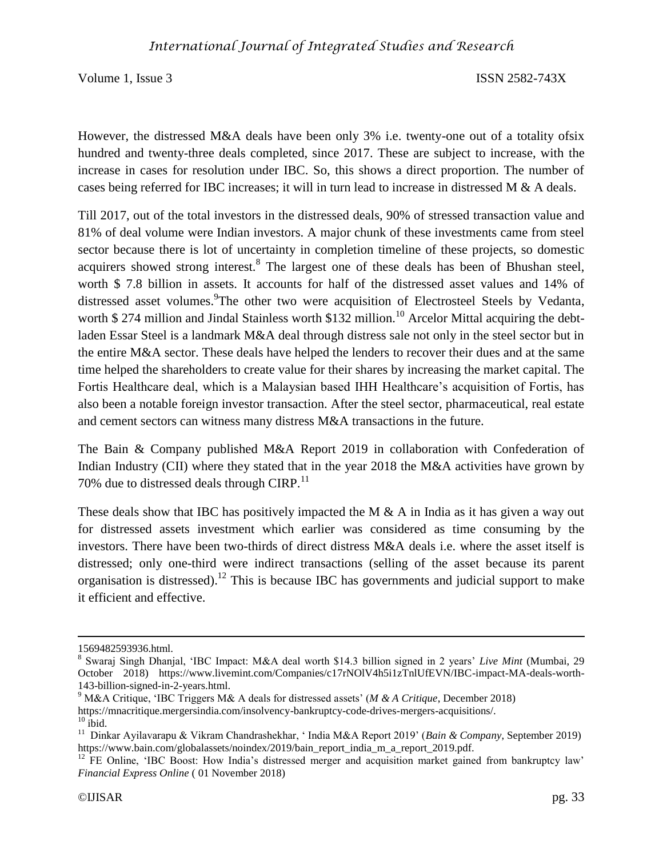However, the distressed M&A deals have been only 3% i.e. twenty-one out of a totality ofsix hundred and twenty-three deals completed, since 2017. These are subject to increase, with the increase in cases for resolution under IBC. So, this shows a direct proportion. The number of cases being referred for IBC increases; it will in turn lead to increase in distressed M & A deals.

Till 2017, out of the total investors in the distressed deals, 90% of stressed transaction value and 81% of deal volume were Indian investors. A major chunk of these investments came from steel sector because there is lot of uncertainty in completion timeline of these projects, so domestic acquirers showed strong interest.<sup>8</sup> The largest one of these deals has been of Bhushan steel, worth \$ 7.8 billion in assets. It accounts for half of the distressed asset values and 14% of distressed asset volumes. <sup>9</sup>The other two were acquisition of Electrosteel Steels by Vedanta, worth  $$ 274$  million and Jindal Stainless worth  $$132$  million.<sup>10</sup> Arcelor Mittal acquiring the debtladen Essar Steel is a landmark M&A deal through distress sale not only in the steel sector but in the entire M&A sector. These deals have helped the lenders to recover their dues and at the same time helped the shareholders to create value for their shares by increasing the market capital. The Fortis Healthcare deal, which is a Malaysian based IHH Healthcare's acquisition of Fortis, has also been a notable foreign investor transaction. After the steel sector, pharmaceutical, real estate and cement sectors can witness many distress M&A transactions in the future.

The Bain & Company published M&A Report 2019 in collaboration with Confederation of Indian Industry (CII) where they stated that in the year 2018 the M&A activities have grown by 70% due to distressed deals through CIRP.<sup>11</sup>

These deals show that IBC has positively impacted the M  $\&$  A in India as it has given a way out for distressed assets investment which earlier was considered as time consuming by the investors. There have been two-thirds of direct distress M&A deals i.e. where the asset itself is distressed; only one-third were indirect transactions (selling of the asset because its parent organisation is distressed).<sup>12</sup> This is because IBC has governments and judicial support to make it efficient and effective.

 $\overline{a}$ 

<sup>1569482593936.</sup>html.

<sup>8</sup> Swaraj Singh Dhanjal, 'IBC Impact: M&A deal worth \$14.3 billion signed in 2 years' *Live Mint* (Mumbai, 29 October 2018) https://www.livemint.com/Companies/c17rNOlV4h5i1zTnlUfEVN/IBC-impact-MA-deals-worth-143-billion-signed-in-2-years.html.

<sup>9</sup> M&A Critique, 'IBC Triggers M& A deals for distressed assets' (*M & A Critique*, December 2018) https://mnacritique.mergersindia.com/insolvency-bankruptcy-code-drives-mergers-acquisitions/.  $10$  ibid.

<sup>11</sup> Dinkar Ayilavarapu & Vikram Chandrashekhar, ' India M&A Report 2019' (*Bain & Company*, September 2019) https://www.bain.com/globalassets/noindex/2019/bain\_report\_india\_m\_a\_report\_2019.pdf.

<sup>&</sup>lt;sup>12</sup> FE Online, 'IBC Boost: How India's distressed merger and acquisition market gained from bankruptcy law' *Financial Express Online* ( 01 November 2018)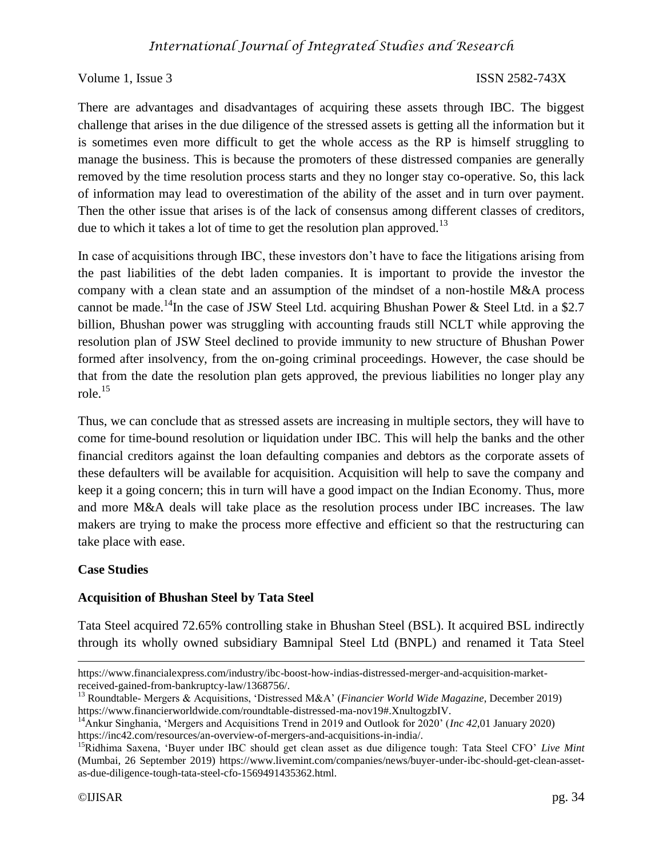There are advantages and disadvantages of acquiring these assets through IBC. The biggest challenge that arises in the due diligence of the stressed assets is getting all the information but it is sometimes even more difficult to get the whole access as the RP is himself struggling to manage the business. This is because the promoters of these distressed companies are generally removed by the time resolution process starts and they no longer stay co-operative. So, this lack of information may lead to overestimation of the ability of the asset and in turn over payment. Then the other issue that arises is of the lack of consensus among different classes of creditors, due to which it takes a lot of time to get the resolution plan approved.<sup>13</sup>

In case of acquisitions through IBC, these investors don't have to face the litigations arising from the past liabilities of the debt laden companies. It is important to provide the investor the company with a clean state and an assumption of the mindset of a non-hostile M&A process cannot be made.<sup>14</sup>In the case of JSW Steel Ltd. acquiring Bhushan Power & Steel Ltd. in a \$2.7 billion, Bhushan power was struggling with accounting frauds still NCLT while approving the resolution plan of JSW Steel declined to provide immunity to new structure of Bhushan Power formed after insolvency, from the on-going criminal proceedings. However, the case should be that from the date the resolution plan gets approved, the previous liabilities no longer play any role. $^{15}$ 

Thus, we can conclude that as stressed assets are increasing in multiple sectors, they will have to come for time-bound resolution or liquidation under IBC. This will help the banks and the other financial creditors against the loan defaulting companies and debtors as the corporate assets of these defaulters will be available for acquisition. Acquisition will help to save the company and keep it a going concern; this in turn will have a good impact on the Indian Economy. Thus, more and more M&A deals will take place as the resolution process under IBC increases. The law makers are trying to make the process more effective and efficient so that the restructuring can take place with ease.

### **Case Studies**

### **Acquisition of Bhushan Steel by Tata Steel**

Tata Steel acquired 72.65% controlling stake in Bhushan Steel (BSL). It acquired BSL indirectly through its wholly owned subsidiary Bamnipal Steel Ltd (BNPL) and renamed it Tata Steel

https://www.financialexpress.com/industry/ibc-boost-how-indias-distressed-merger-and-acquisition-marketreceived-gained-from-bankruptcy-law/1368756/.

<sup>13</sup> Roundtable- Mergers & Acquisitions, 'Distressed M&A' (*Financier World Wide Magazine*, December 2019) https://www.financierworldwide.com/roundtable-distressed-ma-nov19#.XnultogzbIV.

<sup>&</sup>lt;sup>14</sup>Ankur Singhania, 'Mergers and Acquisitions Trend in 2019 and Outlook for 2020' (*Inc 42,01 January 2020*) https://inc42.com/resources/an-overview-of-mergers-and-acquisitions-in-india/.

<sup>15</sup>Ridhima Saxena, 'Buyer under IBC should get clean asset as due diligence tough: Tata Steel CFO' *Live Mint* (Mumbai*,* 26 September 2019) https://www.livemint.com/companies/news/buyer-under-ibc-should-get-clean-assetas-due-diligence-tough-tata-steel-cfo-1569491435362.html.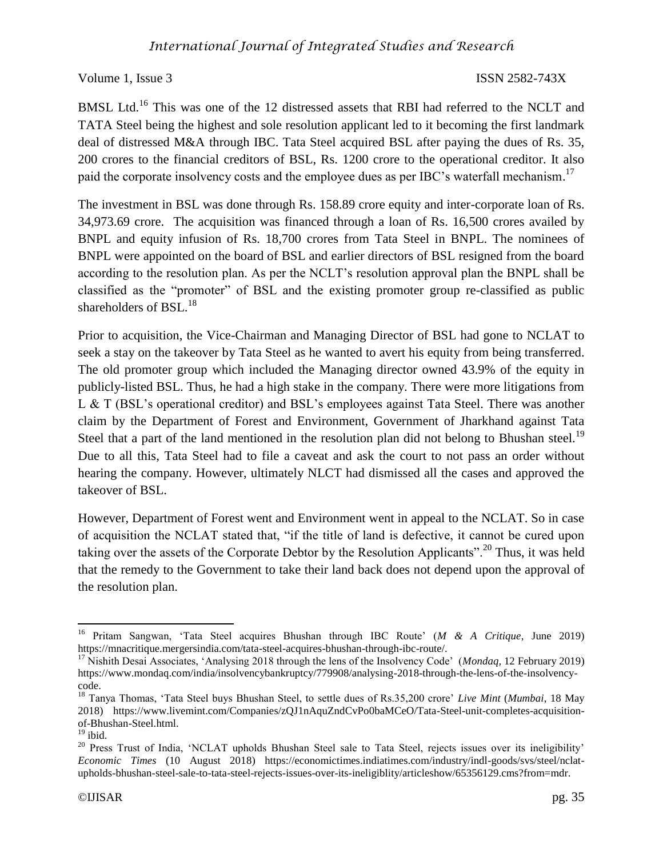BMSL Ltd.<sup>16</sup> This was one of the 12 distressed assets that RBI had referred to the NCLT and TATA Steel being the highest and sole resolution applicant led to it becoming the first landmark deal of distressed M&A through IBC. Tata Steel acquired BSL after paying the dues of Rs. 35, 200 crores to the financial creditors of BSL, Rs. 1200 crore to the operational creditor. It also paid the corporate insolvency costs and the employee dues as per IBC's waterfall mechanism.<sup>17</sup>

The investment in BSL was done through Rs. 158.89 crore equity and inter-corporate loan of Rs. 34,973.69 crore. The acquisition was financed through a loan of Rs. 16,500 crores availed by BNPL and equity infusion of Rs. 18,700 crores from Tata Steel in BNPL. The nominees of BNPL were appointed on the board of BSL and earlier directors of BSL resigned from the board according to the resolution plan. As per the NCLT's resolution approval plan the BNPL shall be classified as the "promoter" of BSL and the existing promoter group re-classified as public shareholders of BSL. $^{18}$ 

Prior to acquisition, the Vice-Chairman and Managing Director of BSL had gone to NCLAT to seek a stay on the takeover by Tata Steel as he wanted to avert his equity from being transferred. The old promoter group which included the Managing director owned 43.9% of the equity in publicly-listed BSL. Thus, he had a high stake in the company. There were more litigations from L & T (BSL's operational creditor) and BSL's employees against Tata Steel. There was another claim by the Department of Forest and Environment, Government of Jharkhand against Tata Steel that a part of the land mentioned in the resolution plan did not belong to Bhushan steel.<sup>19</sup> Due to all this, Tata Steel had to file a caveat and ask the court to not pass an order without hearing the company. However, ultimately NLCT had dismissed all the cases and approved the takeover of BSL.

However, Department of Forest went and Environment went in appeal to the NCLAT. So in case of acquisition the NCLAT stated that, "if the title of land is defective, it cannot be cured upon taking over the assets of the Corporate Debtor by the Resolution Applicants".<sup>20</sup> Thus, it was held that the remedy to the Government to take their land back does not depend upon the approval of the resolution plan.

 $\overline{a}$ <sup>16</sup> Pritam Sangwan, 'Tata Steel acquires Bhushan through IBC Route' (*M & A Critique*, June 2019) https://mnacritique.mergersindia.com/tata-steel-acquires-bhushan-through-ibc-route/.

<sup>17</sup> Nishith Desai Associates, 'Analysing 2018 through the lens of the Insolvency Code' (*Mondaq,* 12 February 2019) https://www.mondaq.com/india/insolvencybankruptcy/779908/analysing-2018-through-the-lens-of-the-insolvencycode.

<sup>18</sup> Tanya Thomas, 'Tata Steel buys Bhushan Steel, to settle dues of Rs.35,200 crore' *Live Mint* (*Mumbai*, 18 May 2018) https://www.livemint.com/Companies/zQJ1nAquZndCvPo0baMCeO/Tata-Steel-unit-completes-acquisitionof-Bhushan-Steel.html.

 $19$  ibid.

<sup>&</sup>lt;sup>20</sup> Press Trust of India, 'NCLAT upholds Bhushan Steel sale to Tata Steel, rejects issues over its ineligibility' *Economic Times* (10 August 2018) https://economictimes.indiatimes.com/industry/indl-goods/svs/steel/nclatupholds-bhushan-steel-sale-to-tata-steel-rejects-issues-over-its-ineligiblity/articleshow/65356129.cms?from=mdr.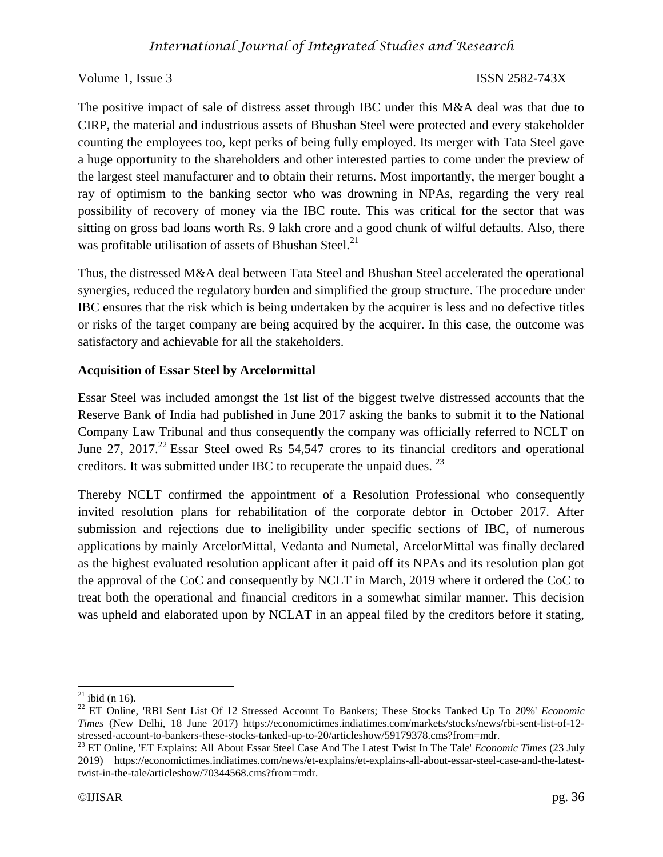# *International Journal of Integrated Studies and Research*

Volume 1, Issue 3 ISSN 2582-743X

The positive impact of sale of distress asset through IBC under this M&A deal was that due to CIRP, the material and industrious assets of Bhushan Steel were protected and every stakeholder counting the employees too, kept perks of being fully employed. Its merger with Tata Steel gave a huge opportunity to the shareholders and other interested parties to come under the preview of the largest steel manufacturer and to obtain their returns. Most importantly, the merger bought a ray of optimism to the banking sector who was drowning in NPAs, regarding the very real possibility of recovery of money via the IBC route. This was critical for the sector that was sitting on gross bad loans worth Rs. 9 lakh crore and a good chunk of wilful defaults. Also, there was profitable utilisation of assets of Bhushan Steel.<sup>21</sup>

Thus, the distressed M&A deal between Tata Steel and Bhushan Steel accelerated the operational synergies, reduced the regulatory burden and simplified the group structure. The procedure under IBC ensures that the risk which is being undertaken by the acquirer is less and no defective titles or risks of the target company are being acquired by the acquirer. In this case, the outcome was satisfactory and achievable for all the stakeholders.

### **Acquisition of Essar Steel by Arcelormittal**

Essar Steel was included amongst the 1st list of the biggest twelve distressed accounts that the Reserve Bank of India had published in June 2017 asking the banks to submit it to the National Company Law Tribunal and thus consequently the company was officially referred to NCLT on June 27, 2017.<sup>22</sup> Essar Steel owed Rs 54,547 crores to its financial creditors and operational creditors. It was submitted under IBC to recuperate the unpaid dues.  $2<sup>3</sup>$ 

Thereby NCLT confirmed the appointment of a Resolution Professional who consequently invited resolution plans for rehabilitation of the corporate debtor in October 2017. After submission and rejections due to ineligibility under specific sections of IBC, of numerous applications by mainly ArcelorMittal, Vedanta and Numetal, ArcelorMittal was finally declared as the highest evaluated resolution applicant after it paid off its NPAs and its resolution plan got the approval of the CoC and consequently by NCLT in March, 2019 where it ordered the CoC to treat both the operational and financial creditors in a somewhat similar manner. This decision was upheld and elaborated upon by NCLAT in an appeal filed by the creditors before it stating,

 $\overline{\phantom{a}}$  $^{21}$  ibid (n 16).

<sup>22</sup> ET Online, 'RBI Sent List Of 12 Stressed Account To Bankers; These Stocks Tanked Up To 20%' *Economic Times* (New Delhi, 18 June 2017) https://economictimes.indiatimes.com/markets/stocks/news/rbi-sent-list-of-12 stressed-account-to-bankers-these-stocks-tanked-up-to-20/articleshow/59179378.cms?from=mdr.

<sup>&</sup>lt;sup>23</sup> ET Online, 'ET Explains: All About Essar Steel Case And The Latest Twist In The Tale' *Economic Times* (23 July 2019) https://economictimes.indiatimes.com/news/et-explains/et-explains-all-about-essar-steel-case-and-the-latesttwist-in-the-tale/articleshow/70344568.cms?from=mdr.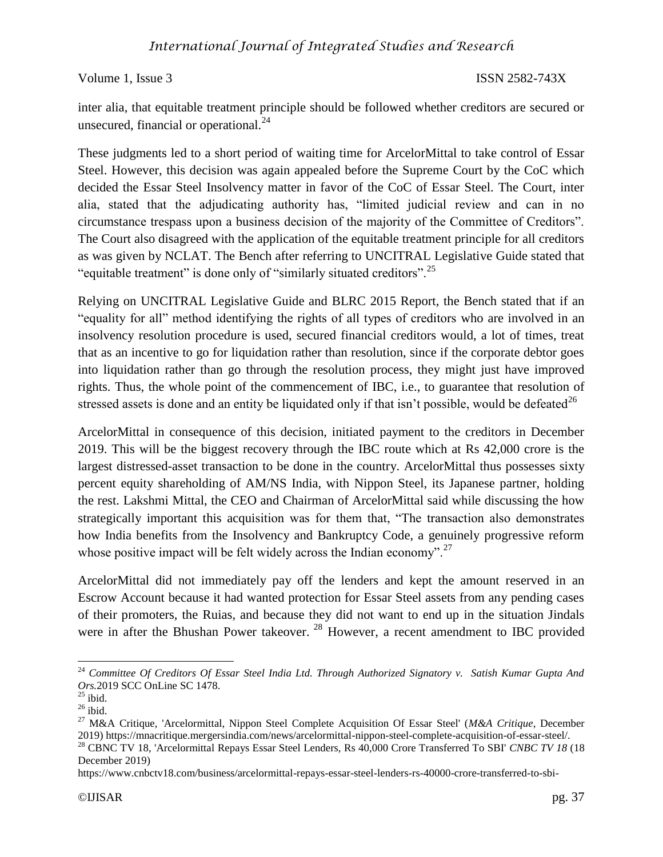inter alia, that equitable treatment principle should be followed whether creditors are secured or unsecured, financial or operational. $^{24}$ 

These judgments led to a short period of waiting time for ArcelorMittal to take control of Essar Steel. However, this decision was again appealed before the Supreme Court by the CoC which decided the Essar Steel Insolvency matter in favor of the CoC of Essar Steel. The Court, inter alia, stated that the adjudicating authority has, "limited judicial review and can in no circumstance trespass upon a business decision of the majority of the Committee of Creditors". The Court also disagreed with the application of the equitable treatment principle for all creditors as was given by NCLAT. The Bench after referring to UNCITRAL Legislative Guide stated that "equitable treatment" is done only of "similarly situated creditors".<sup>25</sup>

Relying on UNCITRAL Legislative Guide and BLRC 2015 Report, the Bench stated that if an "equality for all" method identifying the rights of all types of creditors who are involved in an insolvency resolution procedure is used, secured financial creditors would, a lot of times, treat that as an incentive to go for liquidation rather than resolution, since if the corporate debtor goes into liquidation rather than go through the resolution process, they might just have improved rights. Thus, the whole point of the commencement of IBC, i.e., to guarantee that resolution of stressed assets is done and an entity be liquidated only if that isn't possible, would be defeated<sup>26</sup>

ArcelorMittal in consequence of this decision, initiated payment to the creditors in December 2019. This will be the biggest recovery through the IBC route which at Rs 42,000 crore is the largest distressed-asset transaction to be done in the country. ArcelorMittal thus possesses sixty percent equity shareholding of AM/NS India, with Nippon Steel, its Japanese partner, holding the rest. Lakshmi Mittal, the CEO and Chairman of ArcelorMittal said while discussing the how strategically important this acquisition was for them that, "The transaction also demonstrates how India benefits from the Insolvency and Bankruptcy Code, a genuinely progressive reform whose positive impact will be felt widely across the Indian economy".<sup>27</sup>

ArcelorMittal did not immediately pay off the lenders and kept the amount reserved in an Escrow Account because it had wanted protection for Essar Steel assets from any pending cases of their promoters, the Ruias, and because they did not want to end up in the situation Jindals were in after the Bhushan Power takeover.<sup>28</sup> However, a recent amendment to IBC provided

<sup>24</sup> *Committee Of Creditors Of Essar Steel India Ltd. Through Authorized Signatory v. Satish Kumar Gupta And Ors.*2019 SCC OnLine SC 1478.

 $25$  ibid.

 $26$  ibid.

<sup>27</sup> M&A Critique, 'Arcelormittal, Nippon Steel Complete Acquisition Of Essar Steel' (*M&A Critique*, December 2019) https://mnacritique.mergersindia.com/news/arcelormittal-nippon-steel-complete-acquisition-of-essar-steel/.

<sup>28</sup> CBNC TV 18, 'Arcelormittal Repays Essar Steel Lenders, Rs 40,000 Crore Transferred To SBI' *CNBC TV 18* (18 December 2019)

https://www.cnbctv18.com/business/arcelormittal-repays-essar-steel-lenders-rs-40000-crore-transferred-to-sbi-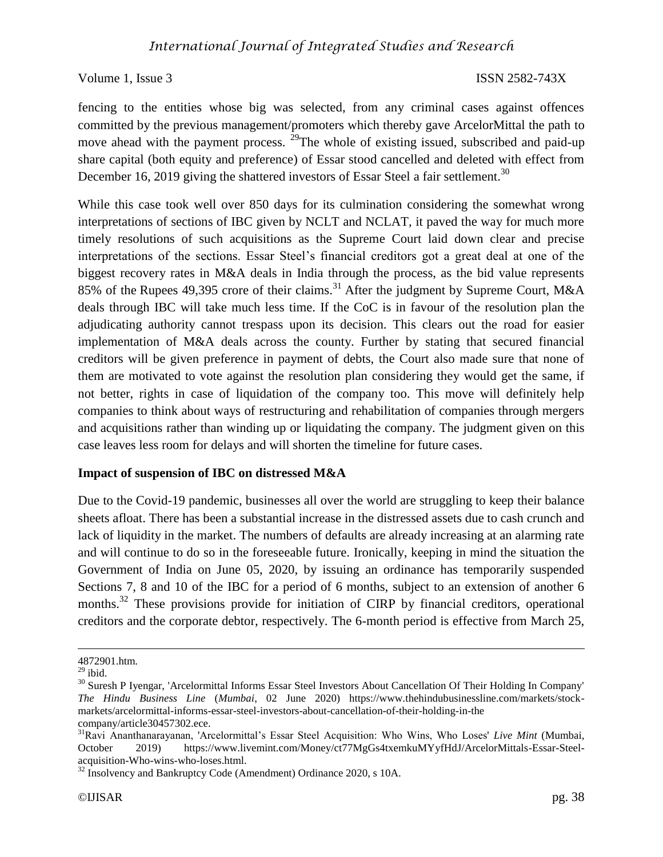fencing to the entities whose big was selected, from any criminal cases against offences committed by the previous management/promoters which thereby gave ArcelorMittal the path to move ahead with the payment process.  $^{29}$ The whole of existing issued, subscribed and paid-up share capital (both equity and preference) of Essar stood cancelled and deleted with effect from December 16, 2019 giving the shattered investors of Essar Steel a fair settlement.<sup>30</sup>

While this case took well over 850 days for its culmination considering the somewhat wrong interpretations of sections of IBC given by NCLT and NCLAT, it paved the way for much more timely resolutions of such acquisitions as the Supreme Court laid down clear and precise interpretations of the sections. Essar Steel's financial creditors got a great deal at one of the biggest recovery rates in M&A deals in India through the process, as the bid value represents 85% of the Rupees 49,395 crore of their claims.<sup>31</sup> After the judgment by Supreme Court, M&A deals through IBC will take much less time. If the CoC is in favour of the resolution plan the adjudicating authority cannot trespass upon its decision. This clears out the road for easier implementation of M&A deals across the county. Further by stating that secured financial creditors will be given preference in payment of debts, the Court also made sure that none of them are motivated to vote against the resolution plan considering they would get the same, if not better, rights in case of liquidation of the company too. This move will definitely help companies to think about ways of restructuring and rehabilitation of companies through mergers and acquisitions rather than winding up or liquidating the company. The judgment given on this case leaves less room for delays and will shorten the timeline for future cases.

### **Impact of suspension of IBC on distressed M&A**

Due to the Covid-19 pandemic, businesses all over the world are struggling to keep their balance sheets afloat. There has been a substantial increase in the distressed assets due to cash crunch and lack of liquidity in the market. The numbers of defaults are already increasing at an alarming rate and will continue to do so in the foreseeable future. Ironically, keeping in mind the situation the Government of India on June 05, 2020, by issuing an ordinance has temporarily suspended Sections 7, 8 and 10 of the IBC for a period of 6 months, subject to an extension of another 6 months.<sup>32</sup> These provisions provide for initiation of CIRP by financial creditors, operational creditors and the corporate debtor, respectively. The 6-month period is effective from March 25,

<sup>4872901.</sup>htm.

 $^{29}$  ibid.

<sup>&</sup>lt;sup>30</sup> Suresh P Iyengar, 'Arcelormittal Informs Essar Steel Investors About Cancellation Of Their Holding In Company' *The Hindu Business Line* (*Mumbai*, 02 June 2020) https://www.thehindubusinessline.com/markets/stockmarkets/arcelormittal-informs-essar-steel-investors-about-cancellation-of-their-holding-in-the company/article30457302.ece.

<sup>31</sup>Ravi Ananthanarayanan, 'Arcelormittal's Essar Steel Acquisition: Who Wins, Who Loses' *Live Mint* (Mumbai, October 2019) https://www.livemint.com/Money/ct77MgGs4txemkuMYyfHdJ/ArcelorMittals-Essar-Steelacquisition-Who-wins-who-loses.html.

 $32$  Insolvency and Bankruptcy Code (Amendment) Ordinance 2020, s 10A.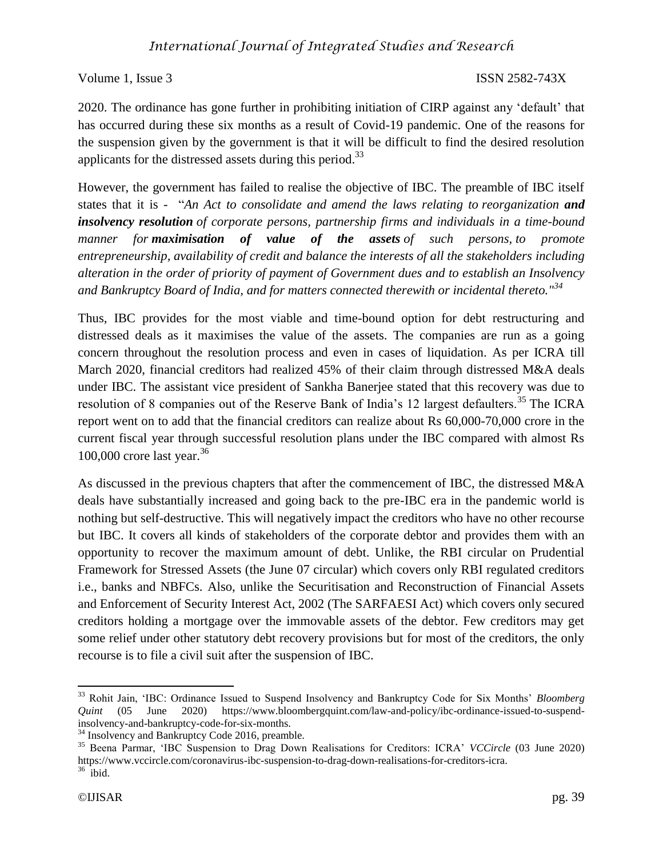2020. The ordinance has gone further in prohibiting initiation of CIRP against any 'default' that has occurred during these six months as a result of Covid-19 pandemic. One of the reasons for the suspension given by the government is that it will be difficult to find the desired resolution applicants for the distressed assets during this period.<sup>33</sup>

However, the government has failed to realise the objective of IBC. The preamble of IBC itself states that it is - "*An Act to consolidate and amend the laws relating to reorganization and insolvency resolution of corporate persons, partnership firms and individuals in a time-bound manner for maximisation of value of the assets of such persons, to promote entrepreneurship, availability of credit and balance the interests of all the stakeholders including alteration in the order of priority of payment of Government dues and to establish an Insolvency and Bankruptcy Board of India, and for matters connected therewith or incidental thereto."<sup>34</sup>*

Thus, IBC provides for the most viable and time-bound option for debt restructuring and distressed deals as it maximises the value of the assets. The companies are run as a going concern throughout the resolution process and even in cases of liquidation. As per ICRA till March 2020, financial creditors had realized 45% of their claim through distressed M&A deals under IBC. The assistant vice president of Sankha Banerjee stated that this recovery was due to resolution of 8 companies out of the Reserve Bank of India's 12 largest defaulters.<sup>35</sup> The ICRA report went on to add that the financial creditors can realize about Rs 60,000-70,000 crore in the current fiscal year through successful resolution plans under the IBC compared with almost Rs 100,000 crore last year. $36$ 

As discussed in the previous chapters that after the commencement of IBC, the distressed M&A deals have substantially increased and going back to the pre-IBC era in the pandemic world is nothing but self-destructive. This will negatively impact the creditors who have no other recourse but IBC. It covers all kinds of stakeholders of the corporate debtor and provides them with an opportunity to recover the maximum amount of debt. Unlike, the RBI circular on Prudential Framework for Stressed Assets (the June 07 circular) which covers only RBI regulated creditors i.e., banks and NBFCs. Also, unlike the Securitisation and Reconstruction of Financial Assets and Enforcement of Security Interest Act, 2002 (The SARFAESI Act) which covers only secured creditors holding a mortgage over the immovable assets of the debtor. Few creditors may get some relief under other statutory debt recovery provisions but for most of the creditors, the only recourse is to file a civil suit after the suspension of IBC.

<sup>33</sup> Rohit Jain, 'IBC: Ordinance Issued to Suspend Insolvency and Bankruptcy Code for Six Months' *Bloomberg Quint* (05 June 2020) https://www.bloombergquint.com/law-and-policy/ibc-ordinance-issued-to-suspendinsolvency-and-bankruptcy-code-for-six-months.

<sup>&</sup>lt;sup>34</sup> Insolvency and Bankruptcy Code 2016, preamble.

<sup>35</sup> Beena Parmar, 'IBC Suspension to Drag Down Realisations for Creditors: ICRA' *VCCircle* (03 June 2020) https://www.vccircle.com/coronavirus-ibc-suspension-to-drag-down-realisations-for-creditors-icra.  $36$  ibid.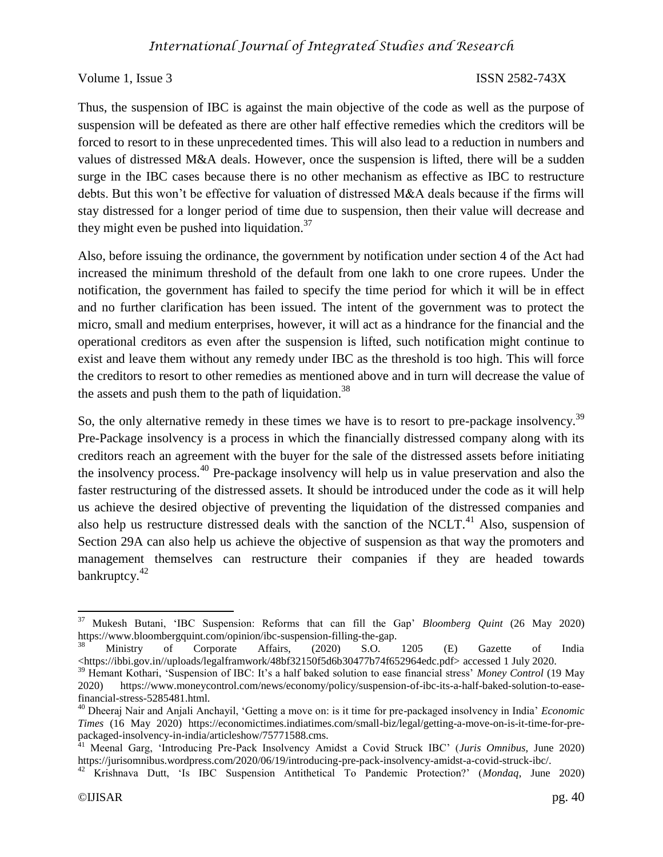Thus, the suspension of IBC is against the main objective of the code as well as the purpose of suspension will be defeated as there are other half effective remedies which the creditors will be forced to resort to in these unprecedented times. This will also lead to a reduction in numbers and values of distressed M&A deals. However, once the suspension is lifted, there will be a sudden surge in the IBC cases because there is no other mechanism as effective as IBC to restructure debts. But this won't be effective for valuation of distressed M&A deals because if the firms will stay distressed for a longer period of time due to suspension, then their value will decrease and they might even be pushed into liquidation. $37$ 

Also, before issuing the ordinance, the government by notification under section 4 of the Act had increased the minimum threshold of the default from one lakh to one crore rupees. Under the notification, the government has failed to specify the time period for which it will be in effect and no further clarification has been issued. The intent of the government was to protect the micro, small and medium enterprises, however, it will act as a hindrance for the financial and the operational creditors as even after the suspension is lifted, such notification might continue to exist and leave them without any remedy under IBC as the threshold is too high. This will force the creditors to resort to other remedies as mentioned above and in turn will decrease the value of the assets and push them to the path of liquidation.<sup>38</sup>

So, the only alternative remedy in these times we have is to resort to pre-package insolvency.<sup>39</sup> Pre-Package insolvency is a process in which the financially distressed company along with its creditors reach an agreement with the buyer for the sale of the distressed assets before initiating the insolvency process.<sup>40</sup> Pre-package insolvency will help us in value preservation and also the faster restructuring of the distressed assets. It should be introduced under the code as it will help us achieve the desired objective of preventing the liquidation of the distressed companies and also help us restructure distressed deals with the sanction of the NCLT. $^{41}$  Also, suspension of Section 29A can also help us achieve the objective of suspension as that way the promoters and management themselves can restructure their companies if they are headed towards bankruptcy. $42$ 

<sup>37</sup> Mukesh Butani, 'IBC Suspension: Reforms that can fill the Gap' *Bloomberg Quint* (26 May 2020) https://www.bloombergquint.com/opinion/ibc-suspension-filling-the-gap.

<sup>&</sup>lt;sup>38</sup> Ministry of Corporate Affairs, (2020) S.O. 1205 (E) Gazette of India <https://ibbi.gov.in//uploads/legalframwork/48bf32150f5d6b30477b74f652964edc.pdf> accessed 1 July 2020.

<sup>39</sup> Hemant Kothari, 'Suspension of IBC: It's a half baked solution to ease financial stress' *Money Control* (19 May 2020) https://www.moneycontrol.com/news/economy/policy/suspension-of-ibc-its-a-half-baked-solution-to-easefinancial-stress-5285481.html.

<sup>40</sup> Dheeraj Nair and Anjali Anchayil, 'Getting a move on: is it time for pre-packaged insolvency in India' *Economic Times* (16 May 2020) https://economictimes.indiatimes.com/small-biz/legal/getting-a-move-on-is-it-time-for-prepackaged-insolvency-in-india/articleshow/75771588.cms.

<sup>41</sup> Meenal Garg, 'Introducing Pre-Pack Insolvency Amidst a Covid Struck IBC' (*Juris Omnibus,* June 2020) https://jurisomnibus.wordpress.com/2020/06/19/introducing-pre-pack-insolvency-amidst-a-covid-struck-ibc/.

<sup>42</sup> Krishnava Dutt, 'Is IBC Suspension Antithetical To Pandemic Protection?' (*Mondaq*, June 2020)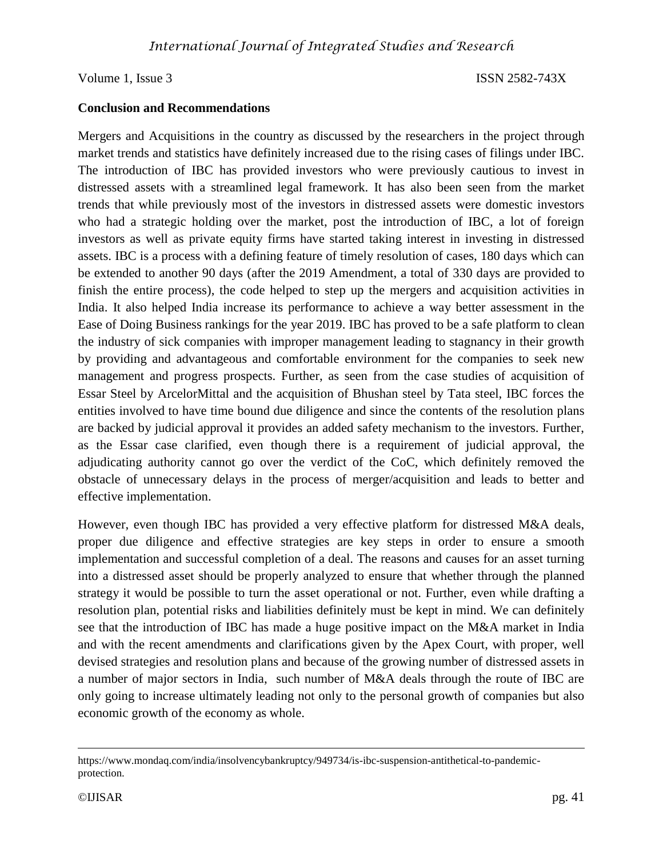### **Conclusion and Recommendations**

Mergers and Acquisitions in the country as discussed by the researchers in the project through market trends and statistics have definitely increased due to the rising cases of filings under IBC. The introduction of IBC has provided investors who were previously cautious to invest in distressed assets with a streamlined legal framework. It has also been seen from the market trends that while previously most of the investors in distressed assets were domestic investors who had a strategic holding over the market, post the introduction of IBC, a lot of foreign investors as well as private equity firms have started taking interest in investing in distressed assets. IBC is a process with a defining feature of timely resolution of cases, 180 days which can be extended to another 90 days (after the 2019 Amendment, a total of 330 days are provided to finish the entire process), the code helped to step up the mergers and acquisition activities in India. It also helped India increase its performance to achieve a way better assessment in the Ease of Doing Business rankings for the year 2019. IBC has proved to be a safe platform to clean the industry of sick companies with improper management leading to stagnancy in their growth by providing and advantageous and comfortable environment for the companies to seek new management and progress prospects. Further, as seen from the case studies of acquisition of Essar Steel by ArcelorMittal and the acquisition of Bhushan steel by Tata steel, IBC forces the entities involved to have time bound due diligence and since the contents of the resolution plans are backed by judicial approval it provides an added safety mechanism to the investors. Further, as the Essar case clarified, even though there is a requirement of judicial approval, the adjudicating authority cannot go over the verdict of the CoC, which definitely removed the obstacle of unnecessary delays in the process of merger/acquisition and leads to better and effective implementation.

However, even though IBC has provided a very effective platform for distressed M&A deals, proper due diligence and effective strategies are key steps in order to ensure a smooth implementation and successful completion of a deal. The reasons and causes for an asset turning into a distressed asset should be properly analyzed to ensure that whether through the planned strategy it would be possible to turn the asset operational or not. Further, even while drafting a resolution plan, potential risks and liabilities definitely must be kept in mind. We can definitely see that the introduction of IBC has made a huge positive impact on the M&A market in India and with the recent amendments and clarifications given by the Apex Court, with proper, well devised strategies and resolution plans and because of the growing number of distressed assets in a number of major sectors in India, such number of M&A deals through the route of IBC are only going to increase ultimately leading not only to the personal growth of companies but also economic growth of the economy as whole.

https://www.mondaq.com/india/insolvencybankruptcy/949734/is-ibc-suspension-antithetical-to-pandemicprotection.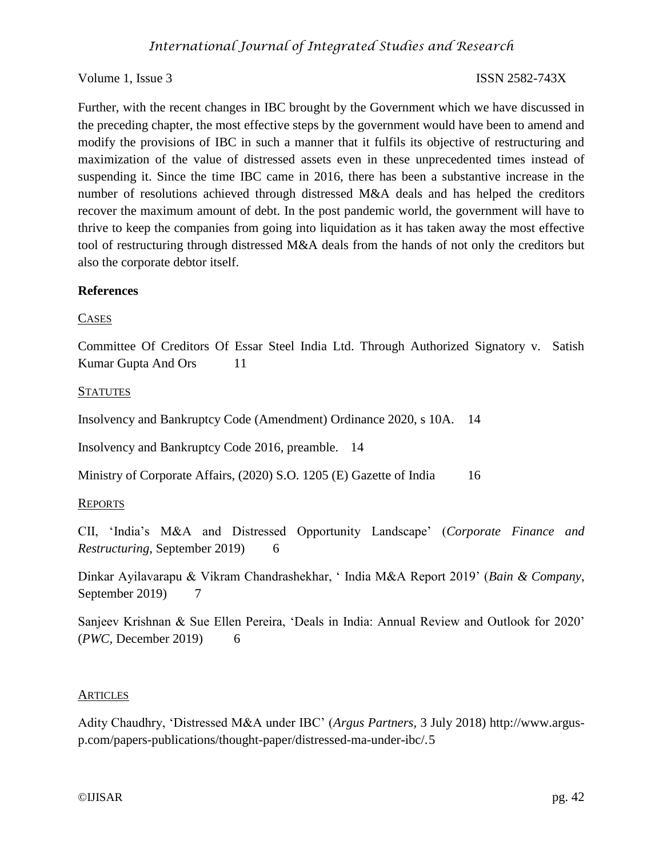# *International Journal of Integrated Studies and Research*

#### Volume 1, Issue 3 ISSN 2582-743X

Further, with the recent changes in IBC brought by the Government which we have discussed in the preceding chapter, the most effective steps by the government would have been to amend and modify the provisions of IBC in such a manner that it fulfils its objective of restructuring and maximization of the value of distressed assets even in these unprecedented times instead of suspending it. Since the time IBC came in 2016, there has been a substantive increase in the number of resolutions achieved through distressed M&A deals and has helped the creditors recover the maximum amount of debt. In the post pandemic world, the government will have to thrive to keep the companies from going into liquidation as it has taken away the most effective tool of restructuring through distressed M&A deals from the hands of not only the creditors but also the corporate debtor itself.

#### **References**

#### CASES

Committee Of Creditors Of Essar Steel India Ltd. Through Authorized Signatory v. Satish Kumar Gupta And Ors 11

#### **STATUTES**

Insolvency and Bankruptcy Code (Amendment) Ordinance 2020, s 10A. 14

Insolvency and Bankruptcy Code 2016, preamble. 14

Ministry of Corporate Affairs, (2020) S.O. 1205 (E) Gazette of India 16

#### **REPORTS**

CII, 'India's M&A and Distressed Opportunity Landscape' (*Corporate Finance and Restructuring*, September 2019) 6

Dinkar Ayilavarapu & Vikram Chandrashekhar, ' India M&A Report 2019' (*Bain & Company*, September 2019) 7

Sanjeev Krishnan & Sue Ellen Pereira, 'Deals in India: Annual Review and Outlook for 2020' (*PWC,* December 2019) 6

#### **ARTICLES**

Adity Chaudhry, 'Distressed M&A under IBC' (*Argus Partners*, 3 July 2018) http://www.argusp.com/papers-publications/thought-paper/distressed-ma-under-ibc/.5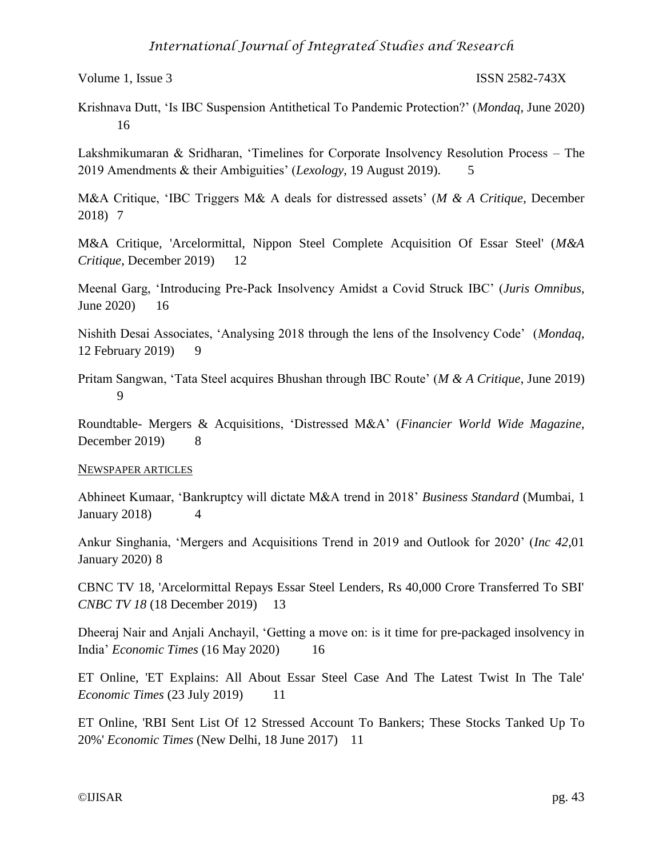Krishnava Dutt, 'Is IBC Suspension Antithetical To Pandemic Protection?' (*Mondaq*, June 2020) 16

Lakshmikumaran & Sridharan, 'Timelines for Corporate Insolvency Resolution Process – The 2019 Amendments & their Ambiguities' (*Lexology*, 19 August 2019). 5

M&A Critique, 'IBC Triggers M& A deals for distressed assets' (*M & A Critique*, December 2018) 7

M&A Critique, 'Arcelormittal, Nippon Steel Complete Acquisition Of Essar Steel' (*M&A Critique*, December 2019) 12

Meenal Garg, 'Introducing Pre-Pack Insolvency Amidst a Covid Struck IBC' (*Juris Omnibus,*  June 2020) 16

Nishith Desai Associates, 'Analysing 2018 through the lens of the Insolvency Code' (*Mondaq,*  12 February 2019) 9

Pritam Sangwan, 'Tata Steel acquires Bhushan through IBC Route' (*M & A Critique*, June 2019) 9

Roundtable- Mergers & Acquisitions, 'Distressed M&A' (*Financier World Wide Magazine*, December 2019) 8

#### NEWSPAPER ARTICLES

Abhineet Kumaar, 'Bankruptcy will dictate M&A trend in 2018' *Business Standard* (Mumbai, 1 January 2018) 4

Ankur Singhania, 'Mergers and Acquisitions Trend in 2019 and Outlook for 2020' (*Inc 42*,01 January 2020) 8

CBNC TV 18, 'Arcelormittal Repays Essar Steel Lenders, Rs 40,000 Crore Transferred To SBI' *CNBC TV 18* (18 December 2019) 13

Dheeraj Nair and Anjali Anchayil, 'Getting a move on: is it time for pre-packaged insolvency in India' *Economic Times* (16 May 2020) 16

ET Online, 'ET Explains: All About Essar Steel Case And The Latest Twist In The Tale' *Economic Times* (23 July 2019) 11

ET Online, 'RBI Sent List Of 12 Stressed Account To Bankers; These Stocks Tanked Up To 20%' *Economic Times* (New Delhi, 18 June 2017) 11